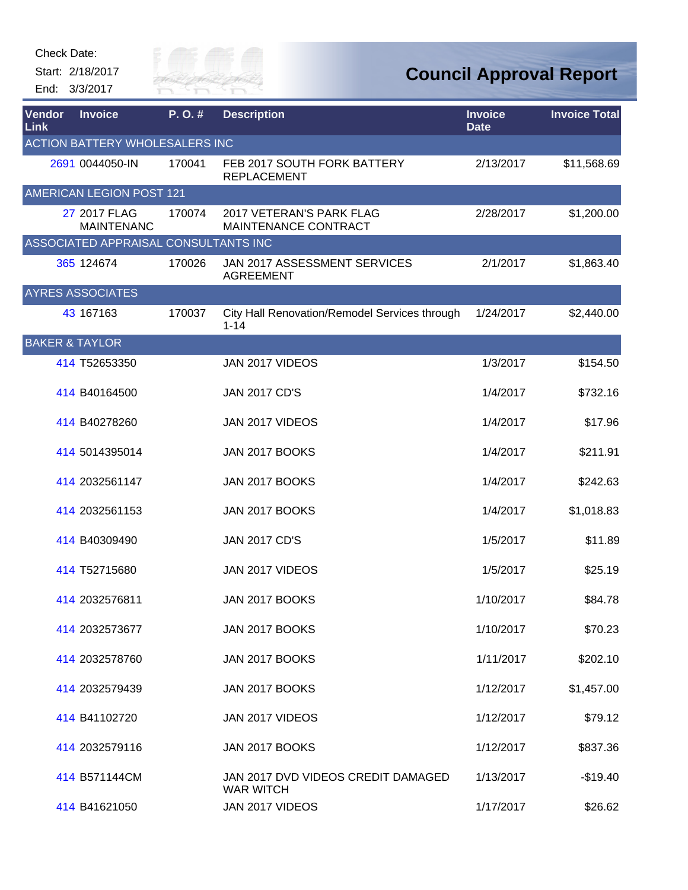Start: 2/18/2017 End: 3/3/2017



| Vendor<br><b>Link</b>                 | <b>Invoice</b>                       | P.O.#  | <b>Description</b>                                        | <b>Invoice</b><br><b>Date</b> | <b>Invoice Total</b> |  |  |  |
|---------------------------------------|--------------------------------------|--------|-----------------------------------------------------------|-------------------------------|----------------------|--|--|--|
| <b>ACTION BATTERY WHOLESALERS INC</b> |                                      |        |                                                           |                               |                      |  |  |  |
|                                       | 2691 0044050-IN                      | 170041 | FEB 2017 SOUTH FORK BATTERY<br><b>REPLACEMENT</b>         | 2/13/2017                     | \$11,568.69          |  |  |  |
|                                       | <b>AMERICAN LEGION POST 121</b>      |        |                                                           |                               |                      |  |  |  |
|                                       | 27 2017 FLAG<br><b>MAINTENANC</b>    | 170074 | 2017 VETERAN'S PARK FLAG<br>MAINTENANCE CONTRACT          | 2/28/2017                     | \$1,200.00           |  |  |  |
|                                       | ASSOCIATED APPRAISAL CONSULTANTS INC |        |                                                           |                               |                      |  |  |  |
|                                       | 365 124674                           | 170026 | JAN 2017 ASSESSMENT SERVICES<br><b>AGREEMENT</b>          | 2/1/2017                      | \$1,863.40           |  |  |  |
|                                       | <b>AYRES ASSOCIATES</b>              |        |                                                           |                               |                      |  |  |  |
|                                       | 43 167163                            | 170037 | City Hall Renovation/Remodel Services through<br>$1 - 14$ | 1/24/2017                     | \$2,440.00           |  |  |  |
| <b>BAKER &amp; TAYLOR</b>             |                                      |        |                                                           |                               |                      |  |  |  |
|                                       | 414 T52653350                        |        | JAN 2017 VIDEOS                                           | 1/3/2017                      | \$154.50             |  |  |  |
|                                       | 414 B40164500                        |        | <b>JAN 2017 CD'S</b>                                      | 1/4/2017                      | \$732.16             |  |  |  |
|                                       | 414 B40278260                        |        | JAN 2017 VIDEOS                                           | 1/4/2017                      | \$17.96              |  |  |  |
|                                       | 414 5014395014                       |        | JAN 2017 BOOKS                                            | 1/4/2017                      | \$211.91             |  |  |  |
|                                       | 414 2032561147                       |        | JAN 2017 BOOKS                                            | 1/4/2017                      | \$242.63             |  |  |  |
|                                       | 414 2032561153                       |        | JAN 2017 BOOKS                                            | 1/4/2017                      | \$1,018.83           |  |  |  |
|                                       | 414 B40309490                        |        | <b>JAN 2017 CD'S</b>                                      | 1/5/2017                      | \$11.89              |  |  |  |
|                                       | 414 T52715680                        |        | JAN 2017 VIDEOS                                           | 1/5/2017                      | \$25.19              |  |  |  |
|                                       | 414 2032576811                       |        | JAN 2017 BOOKS                                            | 1/10/2017                     | \$84.78              |  |  |  |
|                                       | 414 2032573677                       |        | JAN 2017 BOOKS                                            | 1/10/2017                     | \$70.23              |  |  |  |
|                                       | 414 2032578760                       |        | JAN 2017 BOOKS                                            | 1/11/2017                     | \$202.10             |  |  |  |
|                                       | 414 2032579439                       |        | JAN 2017 BOOKS                                            | 1/12/2017                     | \$1,457.00           |  |  |  |
|                                       | 414 B41102720                        |        | JAN 2017 VIDEOS                                           | 1/12/2017                     | \$79.12              |  |  |  |
|                                       | 414 2032579116                       |        | JAN 2017 BOOKS                                            | 1/12/2017                     | \$837.36             |  |  |  |
|                                       | 414 B571144CM                        |        | JAN 2017 DVD VIDEOS CREDIT DAMAGED<br><b>WAR WITCH</b>    | 1/13/2017                     | $-$19.40$            |  |  |  |
|                                       | 414 B41621050                        |        | JAN 2017 VIDEOS                                           | 1/17/2017                     | \$26.62              |  |  |  |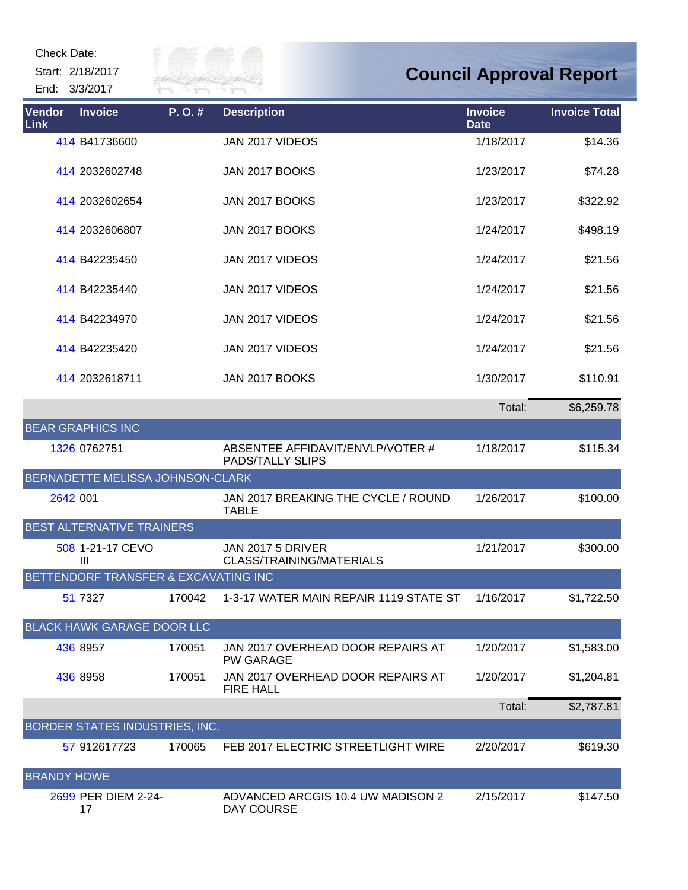Start: 2/18/2017

End: 3/3/2017



| Vendor<br>Link     | <b>Invoice</b>                       | P. O. # | <b>Description</b>                                    | <b>Invoice</b><br><b>Date</b> | <b>Invoice Total</b> |
|--------------------|--------------------------------------|---------|-------------------------------------------------------|-------------------------------|----------------------|
|                    | 414 B41736600                        |         | JAN 2017 VIDEOS                                       | 1/18/2017                     | \$14.36              |
|                    | 414 2032602748                       |         | <b>JAN 2017 BOOKS</b>                                 | 1/23/2017                     | \$74.28              |
|                    | 414 2032602654                       |         | JAN 2017 BOOKS                                        | 1/23/2017                     | \$322.92             |
|                    | 414 2032606807                       |         | JAN 2017 BOOKS                                        | 1/24/2017                     | \$498.19             |
|                    | 414 B42235450                        |         | JAN 2017 VIDEOS                                       | 1/24/2017                     | \$21.56              |
|                    | 414 B42235440                        |         | JAN 2017 VIDEOS                                       | 1/24/2017                     | \$21.56              |
|                    | 414 B42234970                        |         | JAN 2017 VIDEOS                                       | 1/24/2017                     | \$21.56              |
|                    | 414 B42235420                        |         | JAN 2017 VIDEOS                                       | 1/24/2017                     | \$21.56              |
|                    | 414 2032618711                       |         | JAN 2017 BOOKS                                        | 1/30/2017                     | \$110.91             |
|                    |                                      |         |                                                       | Total:                        | \$6,259.78           |
|                    | <b>BEAR GRAPHICS INC</b>             |         |                                                       |                               |                      |
|                    | 1326 0762751                         |         | ABSENTEE AFFIDAVIT/ENVLP/VOTER #<br>PADS/TALLY SLIPS  | 1/18/2017                     | \$115.34             |
|                    | BERNADETTE MELISSA JOHNSON-CLARK     |         |                                                       |                               |                      |
| 2642 001           |                                      |         | JAN 2017 BREAKING THE CYCLE / ROUND<br><b>TABLE</b>   | 1/26/2017                     | \$100.00             |
|                    | BEST ALTERNATIVE TRAINERS            |         |                                                       |                               |                      |
|                    | 508 1-21-17 CEVO<br>$\mathbf{III}$   |         | <b>JAN 2017 5 DRIVER</b><br>CLASS/TRAINING/MATERIALS  | 1/21/2017                     | \$300.00             |
|                    | BETTENDORF TRANSFER & EXCAVATING INC |         |                                                       |                               |                      |
|                    | 51 7327                              | 170042  | 1-3-17 WATER MAIN REPAIR 1119 STATE ST                | 1/16/2017                     | \$1,722.50           |
|                    | <b>BLACK HAWK GARAGE DOOR LLC</b>    |         |                                                       |                               |                      |
|                    | 436 8957                             | 170051  | JAN 2017 OVERHEAD DOOR REPAIRS AT<br><b>PW GARAGE</b> | 1/20/2017                     | \$1,583.00           |
|                    | 436 8958                             | 170051  | JAN 2017 OVERHEAD DOOR REPAIRS AT<br><b>FIRE HALL</b> | 1/20/2017                     | \$1,204.81           |
|                    |                                      |         |                                                       | Total:                        | \$2,787.81           |
|                    | BORDER STATES INDUSTRIES, INC.       |         |                                                       |                               |                      |
|                    | 57 912617723                         | 170065  | FEB 2017 ELECTRIC STREETLIGHT WIRE                    | 2/20/2017                     | \$619.30             |
| <b>BRANDY HOWE</b> |                                      |         |                                                       |                               |                      |
|                    | 2699 PER DIEM 2-24-<br>17            |         | ADVANCED ARCGIS 10.4 UW MADISON 2<br>DAY COURSE       | 2/15/2017                     | \$147.50             |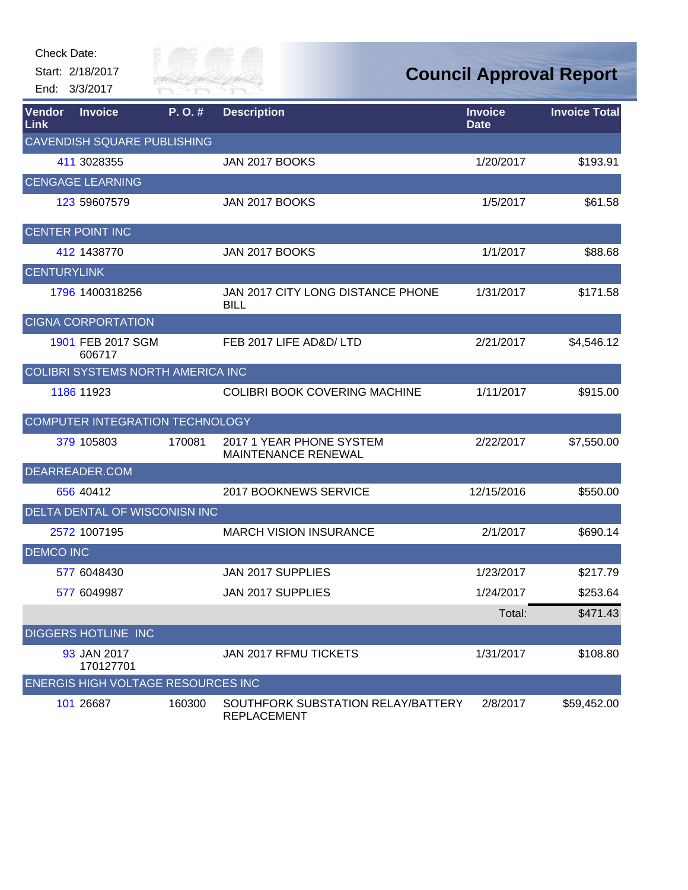Start: 2/18/2017 End: 3/3/2017



| Vendor<br>Link     | <b>Invoice</b>                            | P.O.#  | <b>Description</b>                                       | <b>Invoice</b><br><b>Date</b> | <b>Invoice Total</b> |
|--------------------|-------------------------------------------|--------|----------------------------------------------------------|-------------------------------|----------------------|
|                    | <b>CAVENDISH SQUARE PUBLISHING</b>        |        |                                                          |                               |                      |
|                    | 411 3028355                               |        | JAN 2017 BOOKS                                           | 1/20/2017                     | \$193.91             |
|                    | <b>CENGAGE LEARNING</b>                   |        |                                                          |                               |                      |
|                    | 123 59607579                              |        | JAN 2017 BOOKS                                           | 1/5/2017                      | \$61.58              |
|                    | <b>CENTER POINT INC</b>                   |        |                                                          |                               |                      |
|                    | 412 1438770                               |        | JAN 2017 BOOKS                                           | 1/1/2017                      | \$88.68              |
| <b>CENTURYLINK</b> |                                           |        |                                                          |                               |                      |
|                    | 1796 1400318256                           |        | JAN 2017 CITY LONG DISTANCE PHONE<br><b>BILL</b>         | 1/31/2017                     | \$171.58             |
|                    | <b>CIGNA CORPORTATION</b>                 |        |                                                          |                               |                      |
|                    | 1901 FEB 2017 SGM<br>606717               |        | FEB 2017 LIFE AD&D/LTD                                   | 2/21/2017                     | \$4,546.12           |
|                    | <b>COLIBRI SYSTEMS NORTH AMERICA INC</b>  |        |                                                          |                               |                      |
|                    | 1186 11923                                |        | <b>COLIBRI BOOK COVERING MACHINE</b>                     | 1/11/2017                     | \$915.00             |
|                    | <b>COMPUTER INTEGRATION TECHNOLOGY</b>    |        |                                                          |                               |                      |
|                    | 379 105803                                | 170081 | 2017 1 YEAR PHONE SYSTEM<br><b>MAINTENANCE RENEWAL</b>   | 2/22/2017                     | \$7,550.00           |
|                    | DEARREADER.COM                            |        |                                                          |                               |                      |
|                    | 656 40412                                 |        | 2017 BOOKNEWS SERVICE                                    | 12/15/2016                    | \$550.00             |
|                    | DELTA DENTAL OF WISCONISN INC             |        |                                                          |                               |                      |
|                    | 2572 1007195                              |        | <b>MARCH VISION INSURANCE</b>                            | 2/1/2017                      | \$690.14             |
| <b>DEMCO INC</b>   |                                           |        |                                                          |                               |                      |
|                    | 577 6048430                               |        | JAN 2017 SUPPLIES                                        | 1/23/2017                     | \$217.79             |
|                    | 577 6049987                               |        | JAN 2017 SUPPLIES                                        | 1/24/2017                     | \$253.64             |
|                    |                                           |        |                                                          | Total:                        | \$471.43             |
|                    | <b>DIGGERS HOTLINE INC</b>                |        |                                                          |                               |                      |
|                    | 93 JAN 2017<br>170127701                  |        | JAN 2017 RFMU TICKETS                                    | 1/31/2017                     | \$108.80             |
|                    | <b>ENERGIS HIGH VOLTAGE RESOURCES INC</b> |        |                                                          |                               |                      |
|                    | 101 26687                                 | 160300 | SOUTHFORK SUBSTATION RELAY/BATTERY<br><b>REPLACEMENT</b> | 2/8/2017                      | \$59,452.00          |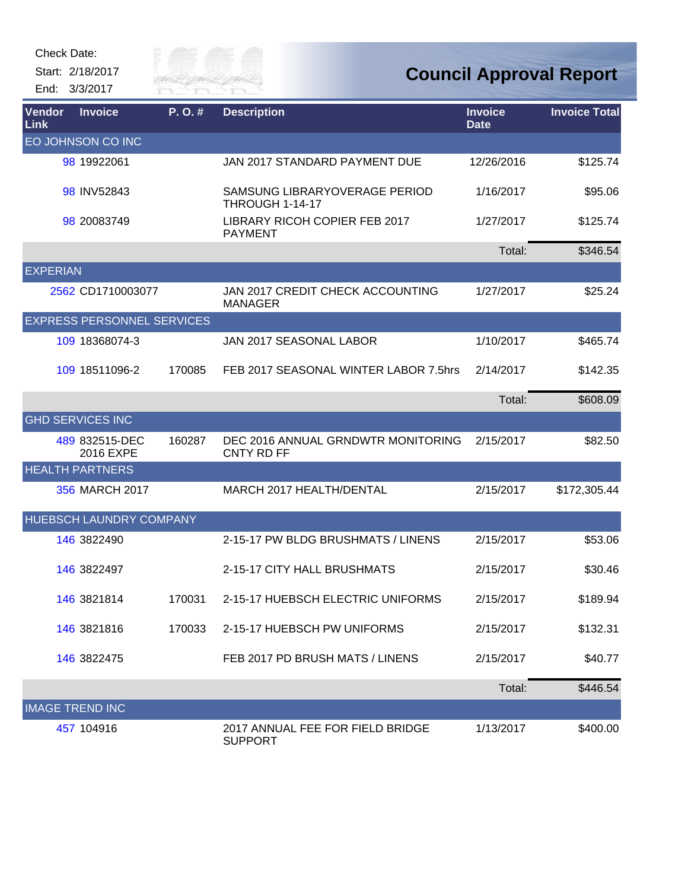

| Vendor<br>Link  | <b>Invoice</b>                    | P.O.#  | <b>Description</b>                                      | <b>Invoice</b><br><b>Date</b> | <b>Invoice Total</b> |
|-----------------|-----------------------------------|--------|---------------------------------------------------------|-------------------------------|----------------------|
|                 | EO JOHNSON CO INC                 |        |                                                         |                               |                      |
|                 | 98 19922061                       |        | JAN 2017 STANDARD PAYMENT DUE                           | 12/26/2016                    | \$125.74             |
|                 | 98 INV52843                       |        | SAMSUNG LIBRARYOVERAGE PERIOD<br><b>THROUGH 1-14-17</b> | 1/16/2017                     | \$95.06              |
|                 | 98 20083749                       |        | LIBRARY RICOH COPIER FEB 2017<br><b>PAYMENT</b>         | 1/27/2017                     | \$125.74             |
|                 |                                   |        |                                                         | Total:                        | \$346.54             |
| <b>EXPERIAN</b> |                                   |        |                                                         |                               |                      |
|                 | 2562 CD1710003077                 |        | JAN 2017 CREDIT CHECK ACCOUNTING<br><b>MANAGER</b>      | 1/27/2017                     | \$25.24              |
|                 | <b>EXPRESS PERSONNEL SERVICES</b> |        |                                                         |                               |                      |
|                 | 109 18368074-3                    |        | JAN 2017 SEASONAL LABOR                                 | 1/10/2017                     | \$465.74             |
|                 | 109 18511096-2                    | 170085 | FEB 2017 SEASONAL WINTER LABOR 7.5hrs                   | 2/14/2017                     | \$142.35             |
|                 |                                   |        |                                                         | Total:                        | \$608.09             |
|                 | <b>GHD SERVICES INC</b>           |        |                                                         |                               |                      |
|                 | 489 832515-DEC<br>2016 EXPE       | 160287 | DEC 2016 ANNUAL GRNDWTR MONITORING<br><b>CNTY RD FF</b> | 2/15/2017                     | \$82.50              |
|                 | <b>HEALTH PARTNERS</b>            |        |                                                         |                               |                      |
|                 | 356 MARCH 2017                    |        | MARCH 2017 HEALTH/DENTAL                                | 2/15/2017                     | \$172,305.44         |
|                 | HUEBSCH LAUNDRY COMPANY           |        |                                                         |                               |                      |
|                 | 146 3822490                       |        | 2-15-17 PW BLDG BRUSHMATS / LINENS                      | 2/15/2017                     | \$53.06              |
|                 | 146 3822497                       |        | 2-15-17 CITY HALL BRUSHMATS                             | 2/15/2017                     | \$30.46              |
|                 | 146 3821814                       | 170031 | 2-15-17 HUEBSCH ELECTRIC UNIFORMS                       | 2/15/2017                     | \$189.94             |
|                 | 146 3821816                       | 170033 | 2-15-17 HUEBSCH PW UNIFORMS                             | 2/15/2017                     | \$132.31             |
|                 | 146 3822475                       |        | FEB 2017 PD BRUSH MATS / LINENS                         | 2/15/2017                     | \$40.77              |
|                 |                                   |        |                                                         | Total:                        | \$446.54             |
|                 | <b>IMAGE TREND INC</b>            |        |                                                         |                               |                      |
|                 | 457 104916                        |        | 2017 ANNUAL FEE FOR FIELD BRIDGE<br><b>SUPPORT</b>      | 1/13/2017                     | \$400.00             |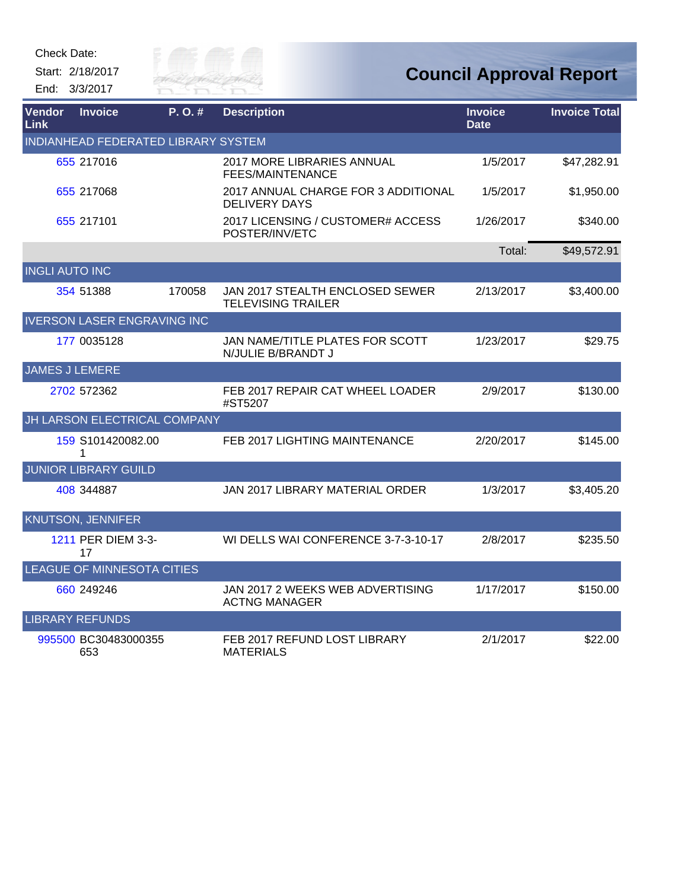

| Vendor<br>Link        | <b>Invoice</b>                      | P.O.#  | <b>Description</b>                                           | <b>Invoice</b><br><b>Date</b> | <b>Invoice Total</b> |
|-----------------------|-------------------------------------|--------|--------------------------------------------------------------|-------------------------------|----------------------|
|                       | INDIANHEAD FEDERATED LIBRARY SYSTEM |        |                                                              |                               |                      |
|                       | 655 217016                          |        | 2017 MORE LIBRARIES ANNUAL<br><b>FEES/MAINTENANCE</b>        | 1/5/2017                      | \$47,282.91          |
|                       | 655 217068                          |        | 2017 ANNUAL CHARGE FOR 3 ADDITIONAL<br><b>DELIVERY DAYS</b>  | 1/5/2017                      | \$1,950.00           |
|                       | 655 217101                          |        | 2017 LICENSING / CUSTOMER# ACCESS<br>POSTER/INV/ETC          | 1/26/2017                     | \$340.00             |
|                       |                                     |        |                                                              | Total:                        | \$49,572.91          |
| <b>INGLI AUTO INC</b> |                                     |        |                                                              |                               |                      |
|                       | 354 51388                           | 170058 | JAN 2017 STEALTH ENCLOSED SEWER<br><b>TELEVISING TRAILER</b> | 2/13/2017                     | \$3,400.00           |
|                       | <b>IVERSON LASER ENGRAVING INC</b>  |        |                                                              |                               |                      |
|                       | 177 0035128                         |        | JAN NAME/TITLE PLATES FOR SCOTT<br>N/JULIE B/BRANDT J        | 1/23/2017                     | \$29.75              |
| <b>JAMES J LEMERE</b> |                                     |        |                                                              |                               |                      |
|                       | 2702 572362                         |        | FEB 2017 REPAIR CAT WHEEL LOADER<br>#ST5207                  | 2/9/2017                      | \$130.00             |
|                       | JH LARSON ELECTRICAL COMPANY        |        |                                                              |                               |                      |
|                       | 159 S101420082.00<br>1              |        | FEB 2017 LIGHTING MAINTENANCE                                | 2/20/2017                     | \$145.00             |
|                       | <b>JUNIOR LIBRARY GUILD</b>         |        |                                                              |                               |                      |
|                       | 408 344887                          |        | JAN 2017 LIBRARY MATERIAL ORDER                              | 1/3/2017                      | \$3,405.20           |
|                       | <b>KNUTSON, JENNIFER</b>            |        |                                                              |                               |                      |
|                       | 1211 PER DIEM 3-3-<br>17            |        | WI DELLS WAI CONFERENCE 3-7-3-10-17                          | 2/8/2017                      | \$235.50             |
|                       | <b>LEAGUE OF MINNESOTA CITIES</b>   |        |                                                              |                               |                      |
|                       | 660 249246                          |        | JAN 2017 2 WEEKS WEB ADVERTISING<br><b>ACTNG MANAGER</b>     | 1/17/2017                     | \$150.00             |
|                       | <b>LIBRARY REFUNDS</b>              |        |                                                              |                               |                      |
|                       | 995500 BC30483000355<br>653         |        | FEB 2017 REFUND LOST LIBRARY<br><b>MATERIALS</b>             | 2/1/2017                      | \$22.00              |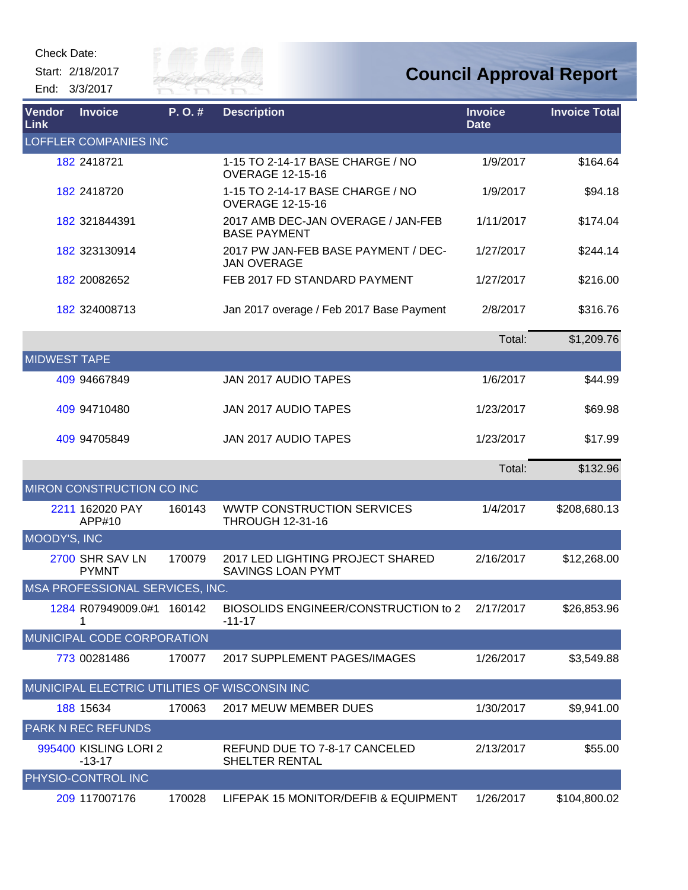Start: 2/18/2017 End: 3/3/2017



| Vendor<br>Link      | <b>Invoice</b>                    | P.O.#  | <b>Description</b>                                           | <b>Invoice</b><br><b>Date</b> | <b>Invoice Total</b> |
|---------------------|-----------------------------------|--------|--------------------------------------------------------------|-------------------------------|----------------------|
|                     | <b>LOFFLER COMPANIES INC</b>      |        |                                                              |                               |                      |
|                     | 182 2418721                       |        | 1-15 TO 2-14-17 BASE CHARGE / NO<br><b>OVERAGE 12-15-16</b>  | 1/9/2017                      | \$164.64             |
|                     | 182 2418720                       |        | 1-15 TO 2-14-17 BASE CHARGE / NO<br><b>OVERAGE 12-15-16</b>  | 1/9/2017                      | \$94.18              |
|                     | 182 321844391                     |        | 2017 AMB DEC-JAN OVERAGE / JAN-FEB<br><b>BASE PAYMENT</b>    | 1/11/2017                     | \$174.04             |
|                     | 182 323130914                     |        | 2017 PW JAN-FEB BASE PAYMENT / DEC-<br><b>JAN OVERAGE</b>    | 1/27/2017                     | \$244.14             |
|                     | 182 20082652                      |        | FEB 2017 FD STANDARD PAYMENT                                 | 1/27/2017                     | \$216.00             |
|                     | 182 324008713                     |        | Jan 2017 overage / Feb 2017 Base Payment                     | 2/8/2017                      | \$316.76             |
|                     |                                   |        |                                                              | Total:                        | \$1,209.76           |
| <b>MIDWEST TAPE</b> |                                   |        |                                                              |                               |                      |
|                     | 409 94667849                      |        | JAN 2017 AUDIO TAPES                                         | 1/6/2017                      | \$44.99              |
|                     | 409 94710480                      |        | JAN 2017 AUDIO TAPES                                         | 1/23/2017                     | \$69.98              |
|                     | 409 94705849                      |        | JAN 2017 AUDIO TAPES                                         | 1/23/2017                     | \$17.99              |
|                     |                                   |        |                                                              | Total:                        | \$132.96             |
|                     | MIRON CONSTRUCTION CO INC         |        |                                                              |                               |                      |
|                     | 2211 162020 PAY<br>APP#10         | 160143 | <b>WWTP CONSTRUCTION SERVICES</b><br><b>THROUGH 12-31-16</b> | 1/4/2017                      | \$208,680.13         |
| MOODY'S, INC        |                                   |        |                                                              |                               |                      |
|                     | 2700 SHR SAV LN<br><b>PYMNT</b>   | 170079 | 2017 LED LIGHTING PROJECT SHARED<br>SAVINGS LOAN PYMT        | 2/16/2017                     | \$12,268.00          |
|                     | MSA PROFESSIONAL SERVICES, INC.   |        |                                                              |                               |                      |
|                     | 1284 R07949009.0#1 160142<br>1    |        | BIOSOLIDS ENGINEER/CONSTRUCTION to 2<br>$-11-17$             | 2/17/2017                     | \$26,853.96          |
|                     | <b>MUNICIPAL CODE CORPORATION</b> |        |                                                              |                               |                      |
|                     | 773 00281486                      | 170077 | 2017 SUPPLEMENT PAGES/IMAGES                                 | 1/26/2017                     | \$3,549.88           |
|                     |                                   |        | MUNICIPAL ELECTRIC UTILITIES OF WISCONSIN INC                |                               |                      |
|                     | 188 15634                         | 170063 | 2017 MEUW MEMBER DUES                                        | 1/30/2017                     | \$9,941.00           |
|                     | <b>PARK N REC REFUNDS</b>         |        |                                                              |                               |                      |
|                     | 995400 KISLING LORI 2<br>$-13-17$ |        | REFUND DUE TO 7-8-17 CANCELED<br>SHELTER RENTAL              | 2/13/2017                     | \$55.00              |
|                     | PHYSIO-CONTROL INC                |        |                                                              |                               |                      |
|                     | 209 117007176                     | 170028 | LIFEPAK 15 MONITOR/DEFIB & EQUIPMENT                         | 1/26/2017                     | \$104,800.02         |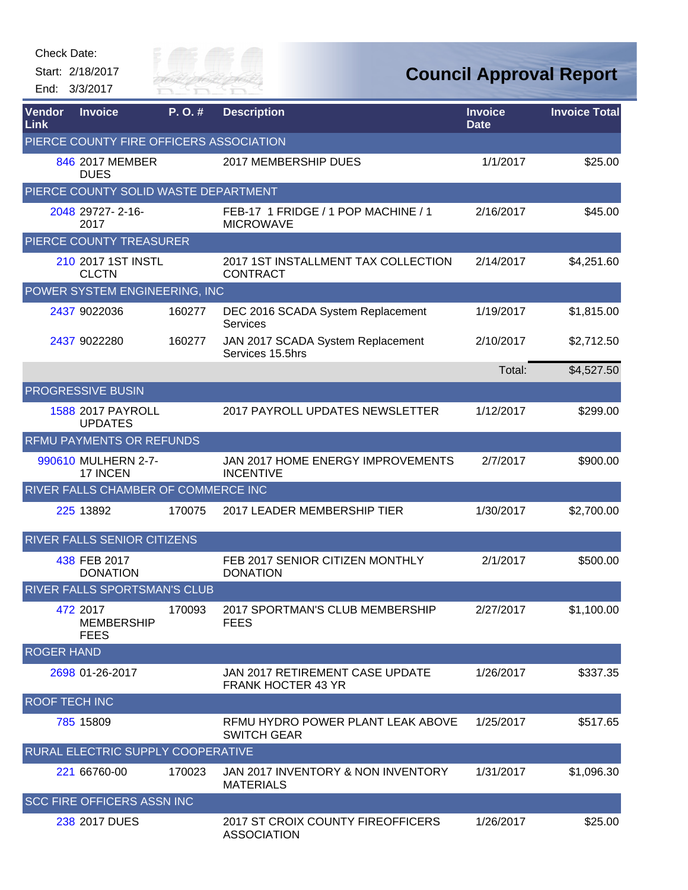Start: 2/18/2017 End: 3/3/2017



| Vendor<br>Link       | <b>Invoice</b>                               | P.O.#  | <b>Description</b>                                           | <b>Invoice</b><br><b>Date</b> | <b>Invoice Total</b> |
|----------------------|----------------------------------------------|--------|--------------------------------------------------------------|-------------------------------|----------------------|
|                      | PIERCE COUNTY FIRE OFFICERS ASSOCIATION      |        |                                                              |                               |                      |
|                      | 846 2017 MEMBER<br><b>DUES</b>               |        | 2017 MEMBERSHIP DUES                                         | 1/1/2017                      | \$25.00              |
|                      | PIERCE COUNTY SOLID WASTE DEPARTMENT         |        |                                                              |                               |                      |
|                      | 2048 29727-2-16-<br>2017                     |        | FEB-17 1 FRIDGE / 1 POP MACHINE / 1<br><b>MICROWAVE</b>      | 2/16/2017                     | \$45.00              |
|                      | PIERCE COUNTY TREASURER                      |        |                                                              |                               |                      |
|                      | 210 2017 1ST INSTL<br><b>CLCTN</b>           |        | 2017 1ST INSTALLMENT TAX COLLECTION<br><b>CONTRACT</b>       | 2/14/2017                     | \$4,251.60           |
|                      | POWER SYSTEM ENGINEERING, INC                |        |                                                              |                               |                      |
|                      | 2437 9022036                                 | 160277 | DEC 2016 SCADA System Replacement<br><b>Services</b>         | 1/19/2017                     | \$1,815.00           |
|                      | 2437 9022280                                 | 160277 | JAN 2017 SCADA System Replacement<br>Services 15.5hrs        | 2/10/2017                     | \$2,712.50           |
|                      |                                              |        |                                                              | Total:                        | \$4,527.50           |
|                      | <b>PROGRESSIVE BUSIN</b>                     |        |                                                              |                               |                      |
|                      | 1588 2017 PAYROLL<br><b>UPDATES</b>          |        | 2017 PAYROLL UPDATES NEWSLETTER                              | 1/12/2017                     | \$299.00             |
|                      | <b>RFMU PAYMENTS OR REFUNDS</b>              |        |                                                              |                               |                      |
|                      | 990610 MULHERN 2-7-<br>17 INCEN              |        | JAN 2017 HOME ENERGY IMPROVEMENTS<br><b>INCENTIVE</b>        | 2/7/2017                      | \$900.00             |
|                      | RIVER FALLS CHAMBER OF COMMERCE INC          |        |                                                              |                               |                      |
|                      | 225 13892                                    | 170075 | 2017 LEADER MEMBERSHIP TIER                                  | 1/30/2017                     | \$2,700.00           |
|                      | <b>RIVER FALLS SENIOR CITIZENS</b>           |        |                                                              |                               |                      |
|                      | 438 FEB 2017<br><b>DONATION</b>              |        | FEB 2017 SENIOR CITIZEN MONTHLY<br><b>DONATION</b>           | 2/1/2017                      | \$500.00             |
|                      | <b>RIVER FALLS SPORTSMAN'S CLUB</b>          |        |                                                              |                               |                      |
|                      | 472 2017<br><b>MEMBERSHIP</b><br><b>FEES</b> | 170093 | 2017 SPORTMAN'S CLUB MEMBERSHIP<br><b>FEES</b>               | 2/27/2017                     | \$1,100.00           |
| <b>ROGER HAND</b>    |                                              |        |                                                              |                               |                      |
|                      | 2698 01-26-2017                              |        | JAN 2017 RETIREMENT CASE UPDATE<br><b>FRANK HOCTER 43 YR</b> | 1/26/2017                     | \$337.35             |
| <b>ROOF TECH INC</b> |                                              |        |                                                              |                               |                      |
|                      | 785 15809                                    |        | RFMU HYDRO POWER PLANT LEAK ABOVE<br><b>SWITCH GEAR</b>      | 1/25/2017                     | \$517.65             |
|                      | RURAL ELECTRIC SUPPLY COOPERATIVE            |        |                                                              |                               |                      |
|                      | 221 66760-00                                 | 170023 | JAN 2017 INVENTORY & NON INVENTORY<br><b>MATERIALS</b>       | 1/31/2017                     | \$1,096.30           |
|                      | <b>SCC FIRE OFFICERS ASSN INC</b>            |        |                                                              |                               |                      |
|                      | 238 2017 DUES                                |        | 2017 ST CROIX COUNTY FIREOFFICERS<br><b>ASSOCIATION</b>      | 1/26/2017                     | \$25.00              |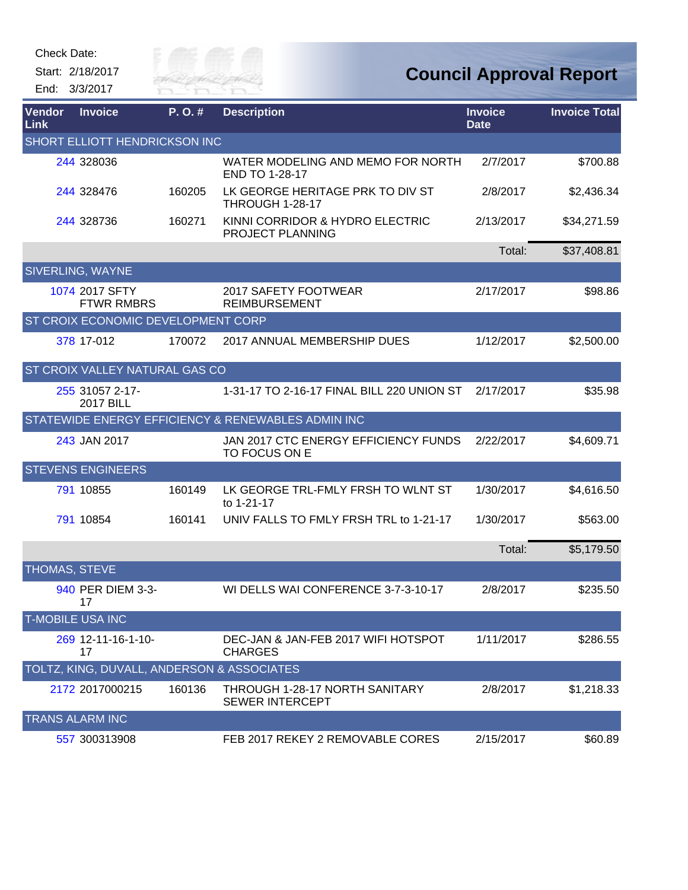

**Council Approval Report**

| Vendor<br>Link          | <b>Invoice</b>                             | P.O.#  | <b>Description</b>                                       | <b>Invoice</b><br><b>Date</b> | <b>Invoice Total</b> |  |  |  |  |
|-------------------------|--------------------------------------------|--------|----------------------------------------------------------|-------------------------------|----------------------|--|--|--|--|
|                         | SHORT ELLIOTT HENDRICKSON INC              |        |                                                          |                               |                      |  |  |  |  |
|                         | 244 328036                                 |        | WATER MODELING AND MEMO FOR NORTH<br>END TO 1-28-17      | 2/7/2017                      | \$700.88             |  |  |  |  |
|                         | 244 328476                                 | 160205 | LK GEORGE HERITAGE PRK TO DIV ST<br>THROUGH 1-28-17      | 2/8/2017                      | \$2,436.34           |  |  |  |  |
|                         | 244 328736                                 | 160271 | KINNI CORRIDOR & HYDRO ELECTRIC<br>PROJECT PLANNING      | 2/13/2017                     | \$34,271.59          |  |  |  |  |
|                         |                                            |        |                                                          | Total:                        | \$37,408.81          |  |  |  |  |
|                         | SIVERLING, WAYNE                           |        |                                                          |                               |                      |  |  |  |  |
|                         | 1074 2017 SFTY<br><b>FTWR RMBRS</b>        |        | 2017 SAFETY FOOTWEAR<br><b>REIMBURSEMENT</b>             | 2/17/2017                     | \$98.86              |  |  |  |  |
|                         | ST CROIX ECONOMIC DEVELOPMENT CORP         |        |                                                          |                               |                      |  |  |  |  |
|                         | 378 17-012                                 | 170072 | 2017 ANNUAL MEMBERSHIP DUES                              | 1/12/2017                     | \$2,500.00           |  |  |  |  |
|                         | ST CROIX VALLEY NATURAL GAS CO             |        |                                                          |                               |                      |  |  |  |  |
|                         | 255 31057 2-17-<br><b>2017 BILL</b>        |        | 1-31-17 TO 2-16-17 FINAL BILL 220 UNION ST               | 2/17/2017                     | \$35.98              |  |  |  |  |
|                         |                                            |        | STATEWIDE ENERGY EFFICIENCY & RENEWABLES ADMIN INC       |                               |                      |  |  |  |  |
|                         | 243 JAN 2017                               |        | JAN 2017 CTC ENERGY EFFICIENCY FUNDS<br>TO FOCUS ON E    | 2/22/2017                     | \$4,609.71           |  |  |  |  |
|                         | <b>STEVENS ENGINEERS</b>                   |        |                                                          |                               |                      |  |  |  |  |
|                         | 791 10855                                  | 160149 | LK GEORGE TRL-FMLY FRSH TO WLNT ST<br>to 1-21-17         | 1/30/2017                     | \$4,616.50           |  |  |  |  |
|                         | 791 10854                                  | 160141 | UNIV FALLS TO FMLY FRSH TRL to 1-21-17                   | 1/30/2017                     | \$563.00             |  |  |  |  |
|                         |                                            |        |                                                          | Total:                        | \$5,179.50           |  |  |  |  |
| THOMAS, STEVE           |                                            |        |                                                          |                               |                      |  |  |  |  |
|                         | 940 PER DIEM 3-3-<br>17                    |        | WI DELLS WAI CONFERENCE 3-7-3-10-17                      | 2/8/2017                      | \$235.50             |  |  |  |  |
| <b>T-MOBILE USA INC</b> |                                            |        |                                                          |                               |                      |  |  |  |  |
|                         | 269 12-11-16-1-10-<br>17                   |        | DEC-JAN & JAN-FEB 2017 WIFI HOTSPOT<br><b>CHARGES</b>    | 1/11/2017                     | \$286.55             |  |  |  |  |
|                         | TOLTZ, KING, DUVALL, ANDERSON & ASSOCIATES |        |                                                          |                               |                      |  |  |  |  |
|                         | 2172 2017000215                            | 160136 | THROUGH 1-28-17 NORTH SANITARY<br><b>SEWER INTERCEPT</b> | 2/8/2017                      | \$1,218.33           |  |  |  |  |
|                         | <b>TRANS ALARM INC</b>                     |        |                                                          |                               |                      |  |  |  |  |
|                         | 557 300313908                              |        | FEB 2017 REKEY 2 REMOVABLE CORES                         | 2/15/2017                     | \$60.89              |  |  |  |  |